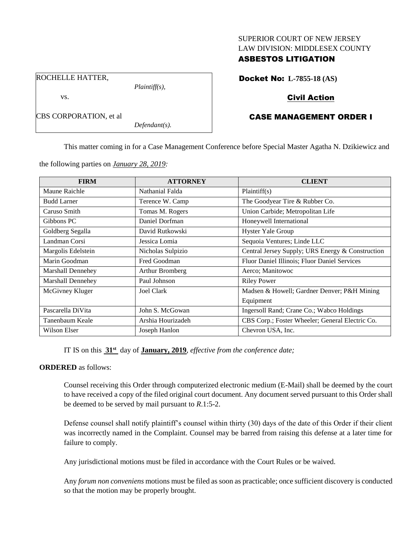#### SUPERIOR COURT OF NEW JERSEY LAW DIVISION: MIDDLESEX COUNTY

## ASBESTOS LITIGATION

Docket No: **L-7855-18 (AS)**

ROCHELLE HATTER,

CBS CORPORATION, et al

vs.

*Plaintiff(s),*

*Defendant(s).*

# Civil Action

# CASE MANAGEMENT ORDER I

This matter coming in for a Case Management Conference before Special Master Agatha N. Dzikiewicz and

the following parties on *January 28, 2019:*

| <b>FIRM</b>        | <b>ATTORNEY</b>   | <b>CLIENT</b>                                    |
|--------------------|-------------------|--------------------------------------------------|
| Maune Raichle      | Nathanial Falda   | Plaintiff(s)                                     |
| <b>Budd Larner</b> | Terence W. Camp   | The Goodyear Tire & Rubber Co.                   |
| Caruso Smith       | Tomas M. Rogers   | Union Carbide; Metropolitan Life                 |
| Gibbons PC         | Daniel Dorfman    | Honeywell International                          |
| Goldberg Segalla   | David Rutkowski   | <b>Hyster Yale Group</b>                         |
| Landman Corsi      | Jessica Lomia     | Sequoia Ventures; Linde LLC                      |
| Margolis Edelstein | Nicholas Sulpizio | Central Jersey Supply; URS Energy & Construction |
| Marin Goodman      | Fred Goodman      | Fluor Daniel Illinois; Fluor Daniel Services     |
| Marshall Dennehey  | Arthur Bromberg   | Aerco; Manitowoc                                 |
| Marshall Dennehey  | Paul Johnson      | <b>Riley Power</b>                               |
| McGivney Kluger    | <b>Joel Clark</b> | Madsen & Howell; Gardner Denver; P&H Mining      |
|                    |                   | Equipment                                        |
| Pascarella DiVita  | John S. McGowan   | Ingersoll Rand; Crane Co.; Wabco Holdings        |
| Tanenbaum Keale    | Arshia Hourizadeh | CBS Corp.; Foster Wheeler; General Electric Co.  |
| Wilson Elser       | Joseph Hanlon     | Chevron USA, Inc.                                |

IT IS on this **31st** day of **January, 2019**, *effective from the conference date;*

### **ORDERED** as follows:

Counsel receiving this Order through computerized electronic medium (E-Mail) shall be deemed by the court to have received a copy of the filed original court document. Any document served pursuant to this Order shall be deemed to be served by mail pursuant to *R*.1:5-2.

Defense counsel shall notify plaintiff's counsel within thirty (30) days of the date of this Order if their client was incorrectly named in the Complaint. Counsel may be barred from raising this defense at a later time for failure to comply.

Any jurisdictional motions must be filed in accordance with the Court Rules or be waived.

Any *forum non conveniens* motions must be filed as soon as practicable; once sufficient discovery is conducted so that the motion may be properly brought.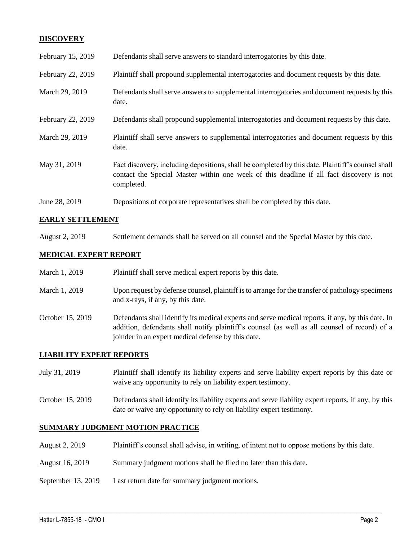### **DISCOVERY**

| February 15, 2019 | Defendants shall serve answers to standard interrogatories by this date.                                                                                                                                    |
|-------------------|-------------------------------------------------------------------------------------------------------------------------------------------------------------------------------------------------------------|
| February 22, 2019 | Plaintiff shall propound supplemental interrogatories and document requests by this date.                                                                                                                   |
| March 29, 2019    | Defendants shall serve answers to supplemental interrogatories and document requests by this<br>date.                                                                                                       |
| February 22, 2019 | Defendants shall propound supplemental interrogatories and document requests by this date.                                                                                                                  |
| March 29, 2019    | Plaintiff shall serve answers to supplemental interrogatories and document requests by this<br>date.                                                                                                        |
| May 31, 2019      | Fact discovery, including depositions, shall be completed by this date. Plaintiff's counsel shall<br>contact the Special Master within one week of this deadline if all fact discovery is not<br>completed. |
| June 28, 2019     | Depositions of corporate representatives shall be completed by this date.                                                                                                                                   |

### **EARLY SETTLEMENT**

August 2, 2019 Settlement demands shall be served on all counsel and the Special Master by this date.

### **MEDICAL EXPERT REPORT**

| March 1, 2019    | Plaintiff shall serve medical expert reports by this date.                                                                                                                                                                                               |
|------------------|----------------------------------------------------------------------------------------------------------------------------------------------------------------------------------------------------------------------------------------------------------|
| March 1, 2019    | Upon request by defense counsel, plaintiff is to arrange for the transfer of pathology specimens<br>and x-rays, if any, by this date.                                                                                                                    |
| October 15, 2019 | Defendants shall identify its medical experts and serve medical reports, if any, by this date. In<br>addition, defendants shall notify plaintiff's counsel (as well as all counsel of record) of a<br>joinder in an expert medical defense by this date. |

#### **LIABILITY EXPERT REPORTS**

- July 31, 2019 Plaintiff shall identify its liability experts and serve liability expert reports by this date or waive any opportunity to rely on liability expert testimony.
- October 15, 2019 Defendants shall identify its liability experts and serve liability expert reports, if any, by this date or waive any opportunity to rely on liability expert testimony.

### **SUMMARY JUDGMENT MOTION PRACTICE**

August 2, 2019 Plaintiff's counsel shall advise, in writing, of intent not to oppose motions by this date.

 $\_$  ,  $\_$  ,  $\_$  ,  $\_$  ,  $\_$  ,  $\_$  ,  $\_$  ,  $\_$  ,  $\_$  ,  $\_$  ,  $\_$  ,  $\_$  ,  $\_$  ,  $\_$  ,  $\_$  ,  $\_$  ,  $\_$  ,  $\_$  ,  $\_$  ,  $\_$  ,  $\_$  ,  $\_$  ,  $\_$  ,  $\_$  ,  $\_$  ,  $\_$  ,  $\_$  ,  $\_$  ,  $\_$  ,  $\_$  ,  $\_$  ,  $\_$  ,  $\_$  ,  $\_$  ,  $\_$  ,  $\_$  ,  $\_$  ,

- August 16, 2019 Summary judgment motions shall be filed no later than this date.
- September 13, 2019 Last return date for summary judgment motions.